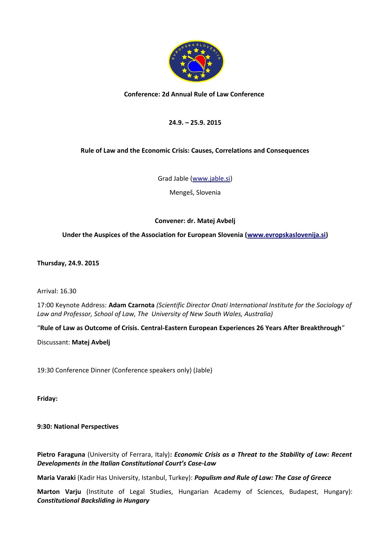

## **Conference: 2d Annual Rule of Law Conference**

# **24.9. – 25.9. 2015**

# **Rule of Law and the Economic Crisis: Causes, Correlations and Consequences**

Grad Jable [\(www.jable.si\)](http://www.jable.si/)

Mengeš, Slovenia

# **Convener: dr. Matej Avbelj**

## **Under the Auspices of the Association for European Slovenia [\(www.evropskaslovenija.si\)](http://www.evropskaslovenija.si/)**

**Thursday, 24.9. 2015**

Arrival: 16.30

17:00 Keynote Address: **Adam Czarnota** *(Scientific Director Onati International Institute for the Sociology of Law and Professor, School of Law, The University of New South Wales, Australia)*

"**Rule of Law as Outcome of Crisis. Central-Eastern European Experiences 26 Years After Breakthrough**"

Discussant: **Matej Avbelj**

19:30 Conference Dinner (Conference speakers only) (Jable)

**Friday:**

#### **9:30: National Perspectives**

**Pietro Faraguna** (University of Ferrara, Italy)**:** *Economic Crisis as a Threat to the Stability of Law: Recent Developments in the Italian Constitutional Court's Case-Law*

**Maria Varaki** (Kadir Has University, Istanbul, Turkey): *Populism and Rule of Law: The Case of Greece*

**Marton Varju** (Institute of Legal Studies, Hungarian Academy of Sciences, Budapest, Hungary): *Constitutional Backsliding in Hungary*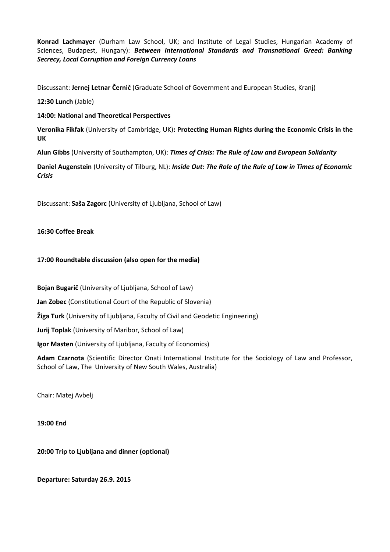**Konrad Lachmayer** (Durham Law School, UK; and Institute of Legal Studies, Hungarian Academy of Sciences, Budapest, Hungary): *Between International Standards and Transnational Greed: Banking Secrecy, Local Corruption and Foreign Currency Loans*

Discussant: **Jernej Letnar Černič** (Graduate School of Government and European Studies, Kranj)

**12:30 Lunch** (Jable)

#### **14:00: National and Theoretical Perspectives**

**Veronika Fikfak** (University of Cambridge, UK)**: Protecting Human Rights during the Economic Crisis in the UK**

**Alun Gibbs** (University of Southampton, UK): *Times of Crisis: The Rule of Law and European Solidarity*

**Daniel Augenstein** (University of Tilburg, NL): *Inside Out: The Role of the Rule of Law in Times of Economic Crisis*

Discussant: **Saša Zagorc** (University of Ljubljana, School of Law)

## **16:30 Coffee Break**

## **17:00 Roundtable discussion (also open for the media)**

**Bojan Bugarič** (University of Ljubljana, School of Law)

**Jan Zobec** (Constitutional Court of the Republic of Slovenia)

**Žiga Turk** (University of Ljubljana, Faculty of Civil and Geodetic Engineering)

**Jurij Toplak** (University of Maribor, School of Law)

**Igor Masten** (University of Ljubljana, Faculty of Economics)

**Adam Czarnota** (Scientific Director Onati International Institute for the Sociology of Law and Professor, School of Law, The University of New South Wales, Australia)

Chair: Matej Avbelj

**19:00 End**

#### **20:00 Trip to Ljubljana and dinner (optional)**

**Departure: Saturday 26.9. 2015**